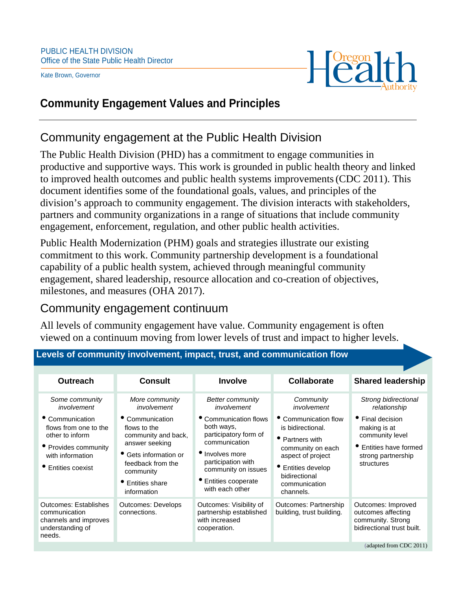Kate Brown, Governor



### **Community Engagement Values and Principles**

# Community engagement at the Public Health Division

The Public Health Division (PHD) has a commitment to engage communities in productive and supportive ways. This work is grounded in public health theory and linked to improved health outcomes and public health systems improvements(CDC 2011). This document identifies some of the foundational goals, values, and principles of the division's approach to community engagement. The division interacts with stakeholders, partners and community organizations in a range of situations that include community engagement, enforcement, regulation, and other public health activities.

Public Health Modernization (PHM) goals and strategies illustrate our existing commitment to this work. Community partnership development is a foundational capability of a public health system, achieved through meaningful community engagement, shared leadership, resource allocation and co-creation of objectives, milestones, and measures (OHA 2017).

# Community engagement continuum

All levels of community engagement have value. Community engagement is often viewed on a continuum moving from lower levels of trust and impact to higher levels.

| <b>Outreach</b>                                                                                                                                                | <b>Consult</b>                                                                                                                                                                                             | <b>Involve</b>                                                                                                                                                                                                                     | Collaborate                                                                                                                                                                                           | <b>Shared leadership</b>                                                                                                                                  |
|----------------------------------------------------------------------------------------------------------------------------------------------------------------|------------------------------------------------------------------------------------------------------------------------------------------------------------------------------------------------------------|------------------------------------------------------------------------------------------------------------------------------------------------------------------------------------------------------------------------------------|-------------------------------------------------------------------------------------------------------------------------------------------------------------------------------------------------------|-----------------------------------------------------------------------------------------------------------------------------------------------------------|
| Some community<br>involvement<br>• Communication<br>flows from one to the<br>other to inform<br>• Provides community<br>with information<br>• Entities coexist | More community<br>involvement<br>Communication<br>flows to the<br>community and back,<br>answer seeking<br>• Gets information or<br>feedback from the<br>community<br><b>Entities share</b><br>information | <b>Better community</b><br>involvement<br>• Communication flows<br>both ways,<br>participatory form of<br>communication<br>• Involves more<br>participation with<br>community on issues<br>• Entities cooperate<br>with each other | Community<br>involvement<br>Communication flow<br>is bidirectional.<br>• Partners with<br>community on each<br>aspect of project<br>• Entities develop<br>bidirectional<br>communication<br>channels. | Strong bidirectional<br>relationship<br>• Final decision<br>making is at<br>community level<br>• Entities have formed<br>strong partnership<br>structures |
| <b>Outcomes: Establishes</b><br>communication<br>channels and improves<br>understanding of<br>needs.                                                           | <b>Outcomes: Develops</b><br>connections.                                                                                                                                                                  | Outcomes: Visibility of<br>partnership established<br>with increased<br>cooperation.                                                                                                                                               | Outcomes: Partnership<br>building, trust building.                                                                                                                                                    | Outcomes: Improved<br>outcomes affecting<br>community. Strong<br>bidirectional trust built.<br>(adapted from CDC 2011)                                    |

#### **Levels of community involvement, impact, trust, and communication flow**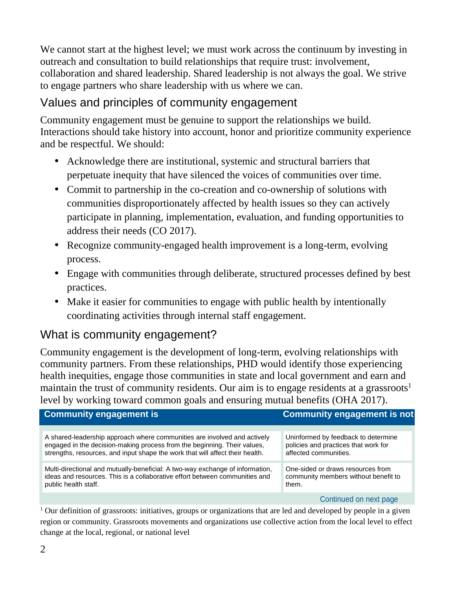We cannot start at the highest level; we must work across the continuum by investing in outreach and consultation to build relationships that require trust: involvement, collaboration and shared leadership. Shared leadership is not always the goal. We strive to engage partners who share leadership with us where we can.

# Values and principles of community engagement

Community engagement must be genuine to support the relationships we build. Interactions should take history into account, honor and prioritize community experience and be respectful. We should:

- Acknowledge there are institutional, systemic and structural barriers that perpetuate inequity that have silenced the voices of communities over time.
- Commit to partnership in the co-creation and co-ownership of solutions with communities disproportionately affected by health issues so they can actively participate in planning, implementation, evaluation, and funding opportunities to address their needs (CO 2017).
- Recognize community-engaged health improvement is a long-term, evolving process.
- Engage with communities through deliberate, structured processes defined by best practices.
- Make it easier for communities to engage with public health by intentionally coordinating activities through internal staff engagement.

## What is community engagement?

Community engagement is the development of long-term, evolving relationships with community partners. From these relationships, PHD would identify those experiencing health inequities, engage those communities in state and local government and earn and maintain the trust of community residents. Our aim is to engage residents at a grassroots<sup>1</sup> level by working toward common goals and ensuring mutual benefits (OHA 2017).

| <b>Community engagement is</b>                                                | <b>Community engagement is not</b>   |
|-------------------------------------------------------------------------------|--------------------------------------|
| A shared-leadership approach where communities are involved and actively      | Uninformed by feedback to determine  |
| engaged in the decision-making process from the beginning. Their values,      | policies and practices that work for |
| strengths, resources, and input shape the work that will affect their health. | affected communities.                |
| Multi-directional and mutually-beneficial: A two-way exchange of information, | One-sided or draws resources from    |
| ideas and resources. This is a collaborative effort between communities and   | community members without benefit to |
| public health staff.                                                          | them.                                |
|                                                                               | Continued on next page               |

<sup>1</sup> Our definition of grassroots: initiatives, groups or organizations that are led and developed by people in a given region or community. Grassroots movements and organizations use collective action from the local level to effect change at the local, regional, or national level